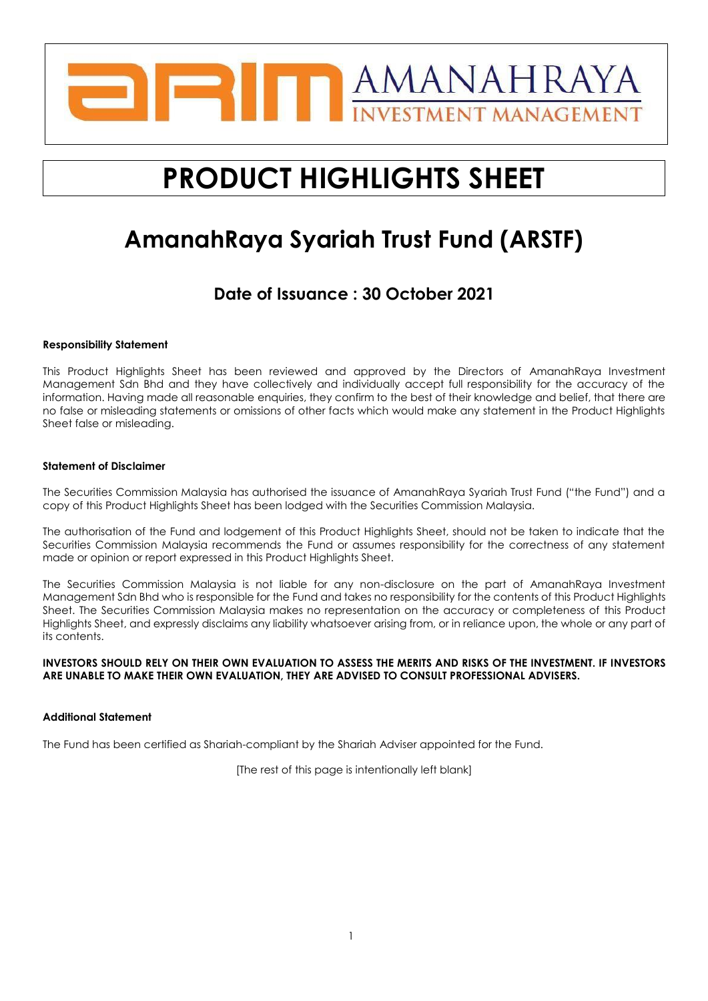

# **PRODUCT HIGHLIGHTS SHEET**

## **AmanahRaya Syariah Trust Fund (ARSTF)**

## **Date of Issuance : 30 October 2021**

#### **Responsibility Statement**

This Product Highlights Sheet has been reviewed and approved by the Directors of AmanahRaya Investment Management Sdn Bhd and they have collectively and individually accept full responsibility for the accuracy of the information. Having made all reasonable enquiries, they confirm to the best of their knowledge and belief, that there are no false or misleading statements or omissions of other facts which would make any statement in the Product Highlights Sheet false or misleading.

#### **Statement of Disclaimer**

The Securities Commission Malaysia has authorised the issuance of AmanahRaya Syariah Trust Fund ("the Fund") and a copy of this Product Highlights Sheet has been lodged with the Securities Commission Malaysia.

The authorisation of the Fund and lodgement of this Product Highlights Sheet, should not be taken to indicate that the Securities Commission Malaysia recommends the Fund or assumes responsibility for the correctness of any statement made or opinion or report expressed in this Product Highlights Sheet.

The Securities Commission Malaysia is not liable for any non-disclosure on the part of AmanahRaya Investment Management Sdn Bhd who is responsible for the Fund and takes no responsibility for the contents of this Product Highlights Sheet. The Securities Commission Malaysia makes no representation on the accuracy or completeness of this Product Highlights Sheet, and expressly disclaims any liability whatsoever arising from, or in reliance upon, the whole or any part of its contents.

#### **INVESTORS SHOULD RELY ON THEIR OWN EVALUATION TO ASSESS THE MERITS AND RISKS OF THE INVESTMENT. IF INVESTORS ARE UNABLE TO MAKE THEIR OWN EVALUATION, THEY ARE ADVISED TO CONSULT PROFESSIONAL ADVISERS.**

#### **Additional Statement**

The Fund has been certified as Shariah-compliant by the Shariah Adviser appointed for the Fund.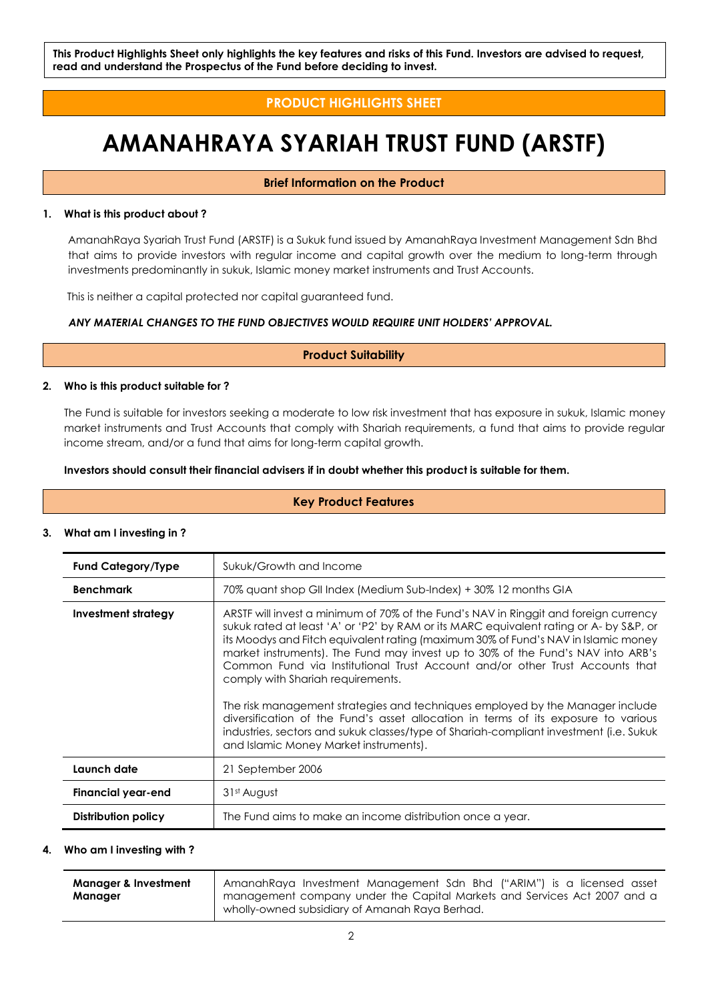### **PRODUCT HIGHLIGHTS SHEET**

## **AMANAHRAYA SYARIAH TRUST FUND (ARSTF)**

#### **Brief Information on the Product**

#### **1. What is this product about ?**

AmanahRaya Syariah Trust Fund (ARSTF) is a Sukuk fund issued by AmanahRaya Investment Management Sdn Bhd that aims to provide investors with regular income and capital growth over the medium to long-term through investments predominantly in sukuk, Islamic money market instruments and Trust Accounts.

This is neither a capital protected nor capital guaranteed fund.

#### *ANY MATERIAL CHANGES TO THE FUND OBJECTIVES WOULD REQUIRE UNIT HOLDERS' APPROVAL.*

#### **Product Suitability**

#### **2. Who is this product suitable for ?**

The Fund is suitable for investors seeking a moderate to low risk investment that has exposure in sukuk, Islamic money market instruments and Trust Accounts that comply with Shariah requirements, a fund that aims to provide regular income stream, and/or a fund that aims for long-term capital growth.

#### **Investors should consult their financial advisers if in doubt whether this product is suitable for them.**

#### **Key Product Features**

#### **3. What am I investing in ?**

| <b>Fund Category/Type</b> | Sukuk/Growth and Income                                                                                                                                                                                                                                                                                                                                                                                                                                                                                                                                                                                                                                                                                                                                                                 |  |  |  |  |
|---------------------------|-----------------------------------------------------------------------------------------------------------------------------------------------------------------------------------------------------------------------------------------------------------------------------------------------------------------------------------------------------------------------------------------------------------------------------------------------------------------------------------------------------------------------------------------------------------------------------------------------------------------------------------------------------------------------------------------------------------------------------------------------------------------------------------------|--|--|--|--|
| <b>Benchmark</b>          | 70% quant shop GII Index (Medium Sub-Index) + 30% 12 months GIA                                                                                                                                                                                                                                                                                                                                                                                                                                                                                                                                                                                                                                                                                                                         |  |  |  |  |
| Investment strategy       | ARSTF will invest a minimum of 70% of the Fund's NAV in Ringgit and foreign currency<br>sukuk rated at least 'A' or 'P2' by RAM or its MARC equivalent rating or A- by S&P, or<br>its Moodys and Fitch equivalent rating (maximum 30% of Fund's NAV in Islamic money<br>market instruments). The Fund may invest up to 30% of the Fund's NAV into ARB's<br>Common Fund via Institutional Trust Account and/or other Trust Accounts that<br>comply with Shariah requirements.<br>The risk management strategies and techniques employed by the Manager include<br>diversification of the Fund's asset allocation in terms of its exposure to various<br>industries, sectors and sukuk classes/type of Shariah-compliant investment (i.e. Sukuk<br>and Islamic Money Market instruments). |  |  |  |  |
| Launch date               | 21 September 2006                                                                                                                                                                                                                                                                                                                                                                                                                                                                                                                                                                                                                                                                                                                                                                       |  |  |  |  |
| Financial year-end        | 31 <sup>st</sup> August                                                                                                                                                                                                                                                                                                                                                                                                                                                                                                                                                                                                                                                                                                                                                                 |  |  |  |  |
| Distribution policy       | The Fund aims to make an income distribution once a year.                                                                                                                                                                                                                                                                                                                                                                                                                                                                                                                                                                                                                                                                                                                               |  |  |  |  |

#### **4. Who am I investing with ?**

| <b>Manager &amp; Investment</b> | AmanahRaya Investment Management Sdn Bhd ("ARIM") is a licensed asset    |
|---------------------------------|--------------------------------------------------------------------------|
| Manager                         | management company under the Capital Markets and Services Act 2007 and a |
|                                 | wholly-owned subsidiary of Amanah Raya Berhad.                           |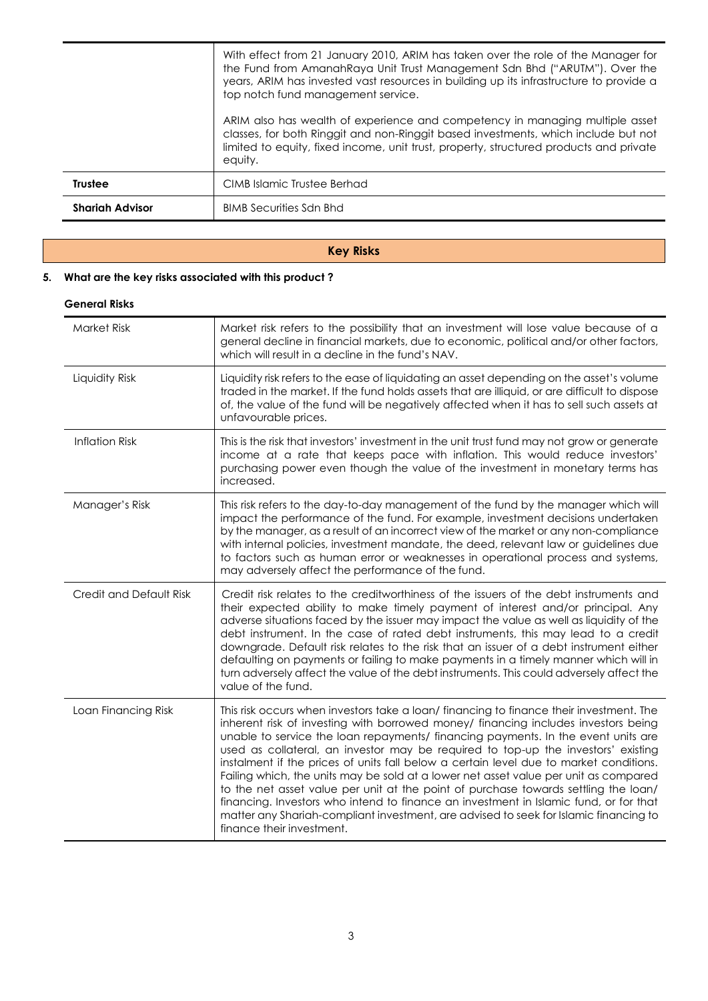|                        | With effect from 21 January 2010, ARIM has taken over the role of the Manager for<br>the Fund from AmanahRaya Unit Trust Management Sdn Bhd ("ARUTM"). Over the<br>years, ARIM has invested vast resources in building up its infrastructure to provide a<br>top notch fund management service.<br>ARIM also has wealth of experience and competency in managing multiple asset<br>classes, for both Ringgit and non-Ringgit based investments, which include but not<br>limited to equity, fixed income, unit trust, property, structured products and private<br>equity. |
|------------------------|----------------------------------------------------------------------------------------------------------------------------------------------------------------------------------------------------------------------------------------------------------------------------------------------------------------------------------------------------------------------------------------------------------------------------------------------------------------------------------------------------------------------------------------------------------------------------|
| <b>Trustee</b>         | CIMB Islamic Trustee Berhad                                                                                                                                                                                                                                                                                                                                                                                                                                                                                                                                                |
|                        |                                                                                                                                                                                                                                                                                                                                                                                                                                                                                                                                                                            |
| <b>Shariah Advisor</b> | <b>BIMB Securities Sdn Bhd</b>                                                                                                                                                                                                                                                                                                                                                                                                                                                                                                                                             |

### **Key Risks**

#### **5. What are the key risks associated with this product ?**

#### **General Risks**

| <b>Market Risk</b>      | Market risk refers to the possibility that an investment will lose value because of a<br>general decline in financial markets, due to economic, political and/or other factors,<br>which will result in a decline in the fund's NAV.                                                                                                                                                                                                                                                                                                                                                                                                                                                                                                                                                                                                            |
|-------------------------|-------------------------------------------------------------------------------------------------------------------------------------------------------------------------------------------------------------------------------------------------------------------------------------------------------------------------------------------------------------------------------------------------------------------------------------------------------------------------------------------------------------------------------------------------------------------------------------------------------------------------------------------------------------------------------------------------------------------------------------------------------------------------------------------------------------------------------------------------|
| Liquidity Risk          | Liquidity risk refers to the ease of liquidating an asset depending on the asset's volume<br>traded in the market. If the fund holds assets that are illiquid, or are difficult to dispose<br>of, the value of the fund will be negatively affected when it has to sell such assets at<br>unfavourable prices.                                                                                                                                                                                                                                                                                                                                                                                                                                                                                                                                  |
| <b>Inflation Risk</b>   | This is the risk that investors' investment in the unit trust fund may not grow or generate<br>income at a rate that keeps pace with inflation. This would reduce investors'<br>purchasing power even though the value of the investment in monetary terms has<br>increased.                                                                                                                                                                                                                                                                                                                                                                                                                                                                                                                                                                    |
| Manager's Risk          | This risk refers to the day-to-day management of the fund by the manager which will<br>impact the performance of the fund. For example, investment decisions undertaken<br>by the manager, as a result of an incorrect view of the market or any non-compliance<br>with internal policies, investment mandate, the deed, relevant law or guidelines due<br>to factors such as human error or weaknesses in operational process and systems,<br>may adversely affect the performance of the fund.                                                                                                                                                                                                                                                                                                                                                |
| Credit and Default Risk | Credit risk relates to the creditworthiness of the issuers of the debt instruments and<br>their expected ability to make timely payment of interest and/or principal. Any<br>adverse situations faced by the issuer may impact the value as well as liquidity of the<br>debt instrument. In the case of rated debt instruments, this may lead to a credit<br>downgrade. Default risk relates to the risk that an issuer of a debt instrument either<br>defaulting on payments or failing to make payments in a timely manner which will in<br>turn adversely affect the value of the debt instruments. This could adversely affect the<br>value of the fund.                                                                                                                                                                                    |
| Loan Financing Risk     | This risk occurs when investors take a loan/ financing to finance their investment. The<br>inherent risk of investing with borrowed money/ financing includes investors being<br>unable to service the loan repayments/ financing payments. In the event units are<br>used as collateral, an investor may be required to top-up the investors' existing<br>instalment if the prices of units fall below a certain level due to market conditions.<br>Failing which, the units may be sold at a lower net asset value per unit as compared<br>to the net asset value per unit at the point of purchase towards settling the loan/<br>financing. Investors who intend to finance an investment in Islamic fund, or for that<br>matter any Shariah-compliant investment, are advised to seek for Islamic financing to<br>finance their investment. |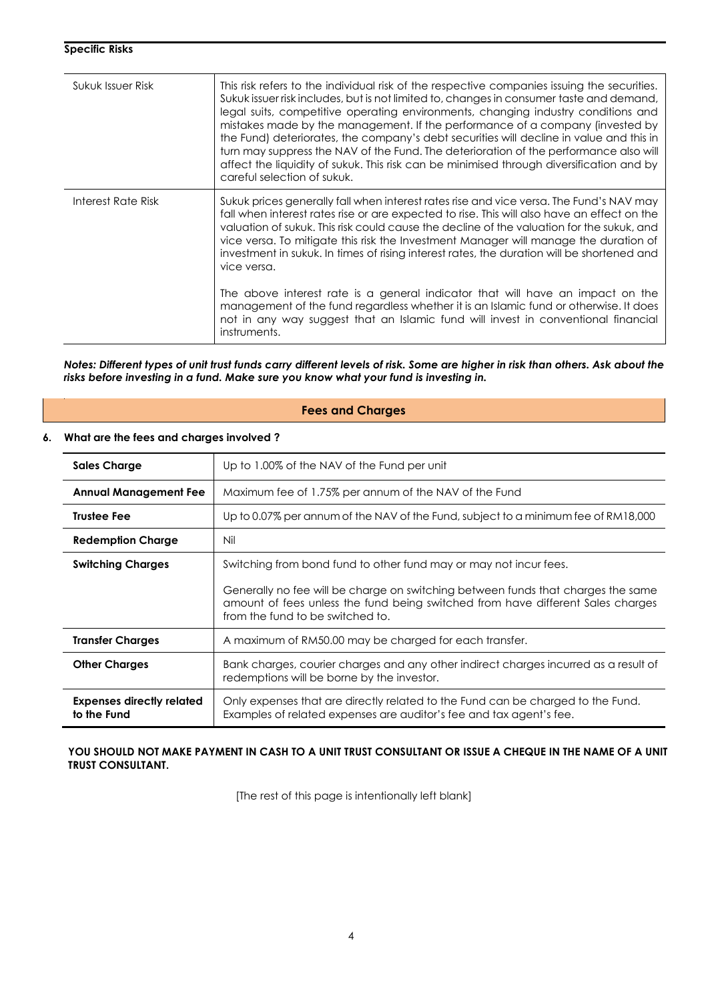| Sukuk Issuer Risk  | This risk refers to the individual risk of the respective companies issuing the securities.<br>Sukuk issuer risk includes, but is not limited to, changes in consumer taste and demand,<br>legal suits, competitive operating environments, changing industry conditions and<br>mistakes made by the management. If the performance of a company (invested by<br>the Fund) deteriorates, the company's debt securities will decline in value and this in<br>turn may suppress the NAV of the Fund. The deterioration of the performance also will<br>affect the liquidity of sukuk. This risk can be minimised through diversification and by<br>careful selection of sukuk. |
|--------------------|------------------------------------------------------------------------------------------------------------------------------------------------------------------------------------------------------------------------------------------------------------------------------------------------------------------------------------------------------------------------------------------------------------------------------------------------------------------------------------------------------------------------------------------------------------------------------------------------------------------------------------------------------------------------------|
| Interest Rate Risk | Sukuk prices generally fall when interest rates rise and vice versa. The Fund's NAV may<br>fall when interest rates rise or are expected to rise. This will also have an effect on the<br>valuation of sukuk. This risk could cause the decline of the valuation for the sukuk, and<br>vice versa. To mitigate this risk the Investment Manager will manage the duration of<br>investment in sukuk. In times of rising interest rates, the duration will be shortened and<br>vice versa.                                                                                                                                                                                     |
|                    | The above interest rate is a general indicator that will have an impact on the<br>management of the fund regardless whether it is an Islamic fund or otherwise. It does<br>not in any way suggest that an Islamic fund will invest in conventional financial<br>instruments.                                                                                                                                                                                                                                                                                                                                                                                                 |

*Notes: Different types of unit trust funds carry different levels of risk. Some are higher in risk than others. Ask about the risks before investing in a fund. Make sure you know what your fund is investing in.*

#### **Fees and Charges**

#### **6. What are the fees and charges involved ?**

| <b>Sales Charge</b>                             | Up to 1.00% of the NAV of the Fund per unit                                                                                                                                                             |  |  |  |
|-------------------------------------------------|---------------------------------------------------------------------------------------------------------------------------------------------------------------------------------------------------------|--|--|--|
| <b>Annual Management Fee</b>                    | Maximum fee of 1.75% per annum of the NAV of the Fund                                                                                                                                                   |  |  |  |
| <b>Trustee Fee</b>                              | Up to 0.07% per annum of the NAV of the Fund, subject to a minimum fee of RM18,000                                                                                                                      |  |  |  |
| <b>Redemption Charge</b>                        | Nil                                                                                                                                                                                                     |  |  |  |
| <b>Switching Charges</b>                        | Switching from bond fund to other fund may or may not incur fees.                                                                                                                                       |  |  |  |
|                                                 | Generally no fee will be charge on switching between funds that charges the same<br>amount of fees unless the fund being switched from have different Sales charges<br>from the fund to be switched to. |  |  |  |
| <b>Transfer Charges</b>                         | A maximum of RM50.00 may be charged for each transfer.                                                                                                                                                  |  |  |  |
| <b>Other Charges</b>                            | Bank charges, courier charges and any other indirect charges incurred as a result of<br>redemptions will be borne by the investor.                                                                      |  |  |  |
| <b>Expenses directly related</b><br>to the Fund | Only expenses that are directly related to the Fund can be charged to the Fund.<br>Examples of related expenses are auditor's fee and tax agent's fee.                                                  |  |  |  |

YOU SHOULD NOT MAKE PAYMENT IN CASH TO A UNIT TRUST CONSULTANT OR ISSUE A CHEQUE IN THE NAME OF A UNIT **TRUST CONSULTANT.**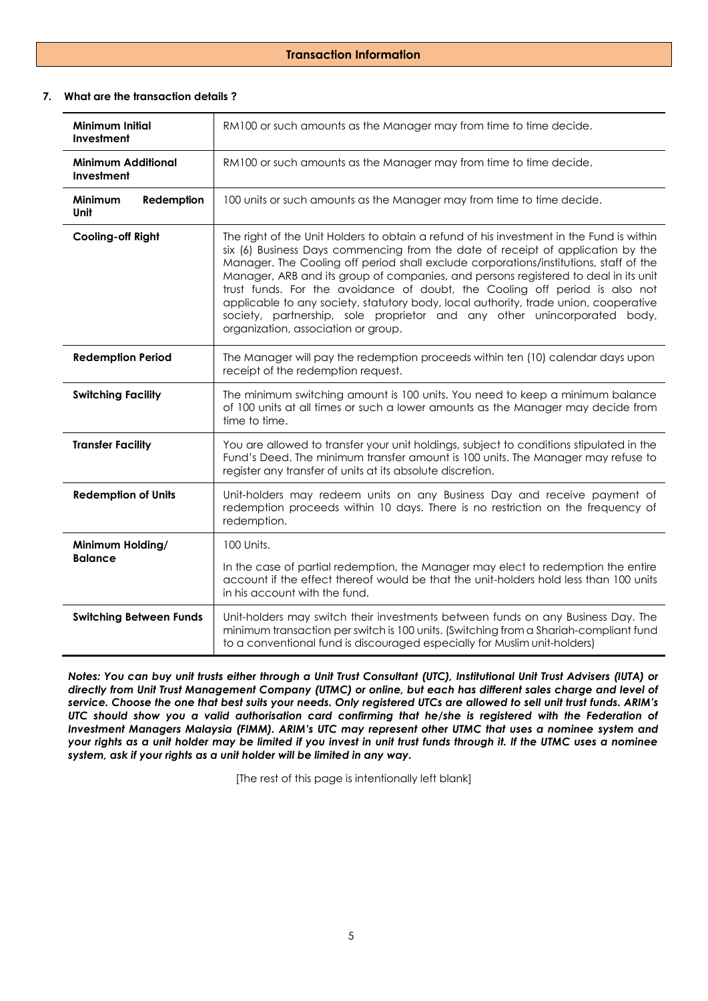#### **Transaction Information**

#### **7. What are the transaction details ?**

| <b>Minimum Initial</b><br>Investment                                                                                                                                                                     | RM100 or such amounts as the Manager may from time to time decide.                                                                                                                                                                                                                                                                                                                                                                                                                                                                                                                                                                                    |  |  |  |
|----------------------------------------------------------------------------------------------------------------------------------------------------------------------------------------------------------|-------------------------------------------------------------------------------------------------------------------------------------------------------------------------------------------------------------------------------------------------------------------------------------------------------------------------------------------------------------------------------------------------------------------------------------------------------------------------------------------------------------------------------------------------------------------------------------------------------------------------------------------------------|--|--|--|
| <b>Minimum Additional</b><br>Investment                                                                                                                                                                  | RM100 or such amounts as the Manager may from time to time decide.                                                                                                                                                                                                                                                                                                                                                                                                                                                                                                                                                                                    |  |  |  |
| Minimum<br>Redemption<br>Unit                                                                                                                                                                            | 100 units or such amounts as the Manager may from time to time decide.                                                                                                                                                                                                                                                                                                                                                                                                                                                                                                                                                                                |  |  |  |
| <b>Cooling-off Right</b>                                                                                                                                                                                 | The right of the Unit Holders to obtain a refund of his investment in the Fund is within<br>six (6) Business Days commencing from the date of receipt of application by the<br>Manager. The Cooling off period shall exclude corporations/institutions, staff of the<br>Manager, ARB and its group of companies, and persons registered to deal in its unit<br>trust funds. For the avoidance of doubt, the Cooling off period is also not<br>applicable to any society, statutory body, local authority, trade union, cooperative<br>society, partnership, sole proprietor and any other unincorporated body,<br>organization, association or group. |  |  |  |
| <b>Redemption Period</b>                                                                                                                                                                                 | The Manager will pay the redemption proceeds within ten (10) calendar days upon<br>receipt of the redemption request.                                                                                                                                                                                                                                                                                                                                                                                                                                                                                                                                 |  |  |  |
| <b>Switching Facility</b>                                                                                                                                                                                | The minimum switching amount is 100 units. You need to keep a minimum balance<br>of 100 units at all times or such a lower amounts as the Manager may decide from<br>time to time.                                                                                                                                                                                                                                                                                                                                                                                                                                                                    |  |  |  |
| <b>Transfer Facility</b>                                                                                                                                                                                 | You are allowed to transfer your unit holdings, subject to conditions stipulated in the<br>Fund's Deed. The minimum transfer amount is 100 units. The Manager may refuse to<br>register any transfer of units at its absolute discretion.                                                                                                                                                                                                                                                                                                                                                                                                             |  |  |  |
| <b>Redemption of Units</b><br>Unit-holders may redeem units on any Business Day and receive payment of<br>redemption proceeds within 10 days. There is no restriction on the frequency of<br>redemption. |                                                                                                                                                                                                                                                                                                                                                                                                                                                                                                                                                                                                                                                       |  |  |  |
| Minimum Holding/                                                                                                                                                                                         | 100 Units.                                                                                                                                                                                                                                                                                                                                                                                                                                                                                                                                                                                                                                            |  |  |  |
| <b>Balance</b>                                                                                                                                                                                           | In the case of partial redemption, the Manager may elect to redemption the entire<br>account if the effect thereof would be that the unit-holders hold less than 100 units<br>in his account with the fund.                                                                                                                                                                                                                                                                                                                                                                                                                                           |  |  |  |
| <b>Switching Between Funds</b>                                                                                                                                                                           | Unit-holders may switch their investments between funds on any Business Day. The<br>minimum transaction per switch is 100 units. (Switching from a Shariah-compliant fund<br>to a conventional fund is discouraged especially for Muslim unit-holders)                                                                                                                                                                                                                                                                                                                                                                                                |  |  |  |

*Notes: You can buy unit trusts either through a Unit Trust Consultant (UTC), Institutional Unit Trust Advisers (IUTA) or directly from Unit Trust Management Company (UTMC) or online, but each has different sales charge and level of service. Choose the one that best suits your needs. Only registered UTCs are allowed to sell unit trust funds. ARIM's UTC should show you a valid authorisation card confirming that he/she is registered with the Federation of Investment Managers Malaysia (FIMM). ARIM's UTC may represent other UTMC that uses a nominee system and your rights as a unit holder may be limited if you invest in unit trust funds through it. If the UTMC uses a nominee system, ask if your rights as a unit holder will be limited in any way.*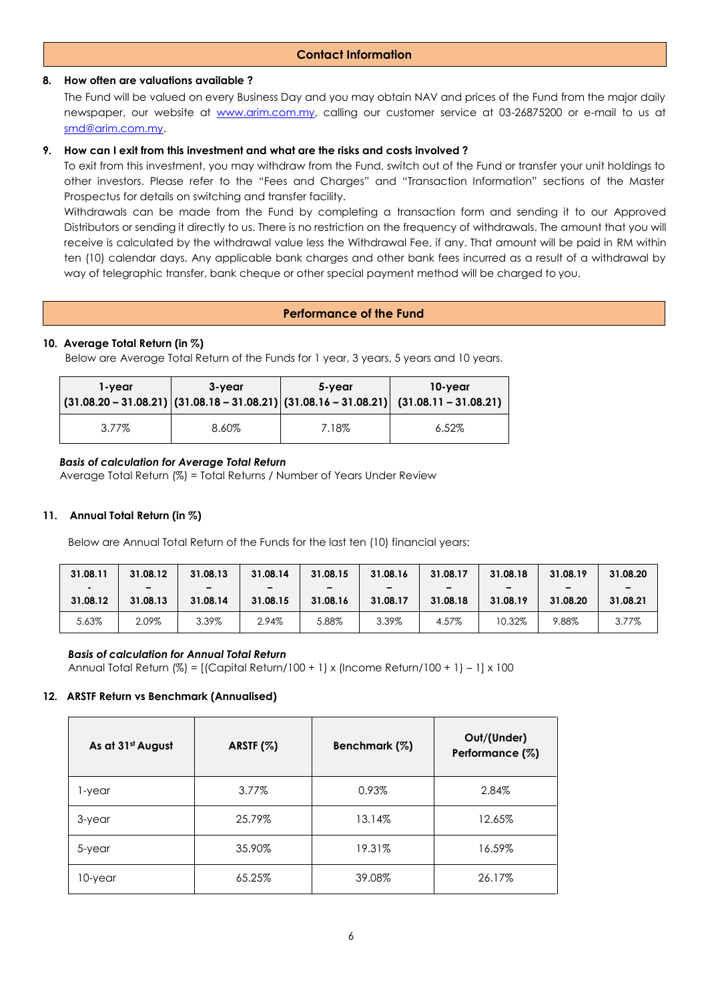#### **8. How often are valuations available ?**

The Fund will be valued on every Business Day and you may obtain NAV and prices of the Fund from the major daily newspaper, our website at [www.arim.com.my,](http://www.arim.com.my/) calling our customer service at 03-26875200 or e-mail to us at [smd@arim.com.my.](mailto:sales@arim.com.my)

#### **9. How can I exit from this investment and what are the risks and costs involved ?**

To exit from this investment, you may withdraw from the Fund, switch out of the Fund or transfer your unit holdings to other investors. Please refer to the "Fees and Charges" and "Transaction Information" sections of the Master Prospectus for details on switching and transfer facility.

Withdrawals can be made from the Fund by completing a transaction form and sending it to our Approved Distributors or sending it directly to us. There is no restriction on the frequency of withdrawals. The amount that you will receive is calculated by the withdrawal value less the Withdrawal Fee, if any. That amount will be paid in RM within ten (10) calendar days. Any applicable bank charges and other bank fees incurred as a result of a withdrawal by way of telegraphic transfer, bank cheque or other special payment method will be charged to you.

#### **Performance of the Fund**

#### **10. Average Total Return (in %)**

Below are Average Total Return of the Funds for 1 year, 3 years, 5 years and 10 years.

| 1-vear | 3-vear | 5-vear | 10-year<br>$\left  \frac{(31.08.20 - 31.08.21)}{(31.08.18 - 31.08.21)} \right $ $\left  \frac{(31.08.16 - 31.08.21)}{(31.08.11 - 31.08.21)} \right $ |
|--------|--------|--------|------------------------------------------------------------------------------------------------------------------------------------------------------|
| 3.77%  | 8.60%  | 7.18%  | $6.52\%$                                                                                                                                             |

#### *Basis of calculation for Average Total Return*

Average Total Return (%) = Total Returns / Number of Years Under Review

#### **11. Annual Total Return (in %)**

Below are Annual Total Return of the Funds for the last ten (10) financial years:

| 31.08.11                   | 31.08.12      | 31.08.13                             | 31.08.14                             | 31.08.15                             | 31.08.16      | 31.08.17      | 31.08.18      | 31.08.19      | 31.08.20 |
|----------------------------|---------------|--------------------------------------|--------------------------------------|--------------------------------------|---------------|---------------|---------------|---------------|----------|
| $\blacksquare$<br>31.08.12 | -<br>31.08.13 | $\overline{\phantom{0}}$<br>31.08.14 | $\overline{\phantom{a}}$<br>31.08.15 | $\overline{\phantom{0}}$<br>31.08.16 | -<br>31.08.17 | -<br>31.08.18 | -<br>31.08.19 | -<br>31.08.20 | 31.08.21 |
| 5.63%                      | 2.09%         | 3.39%                                | 2.94%                                | 5.88%                                | 3.39%         | 4.57%         | 10.32%        | 9.88%         | 3.77%    |

#### *Basis of calculation for Annual Total Return*

Annual Total Return (%) = [(Capital Return/100 + 1) x (Income Return/100 + 1) – 1] x 100

#### **12. ARSTF Return vs Benchmark (Annualised)**

| As at 31st August | ARSTF $(%)$ | Benchmark (%) | Out/(Under)<br>Performance (%) |  |
|-------------------|-------------|---------------|--------------------------------|--|
| 1-year            | 3.77%       | 0.93%         | 2.84%                          |  |
| 3-year            | 25.79%      | 13.14%        | 12.65%                         |  |
| 5-year            | 35.90%      | 19.31%        | 16.59%                         |  |
| 10-year           | 65.25%      | 39.08%        | 26.17%                         |  |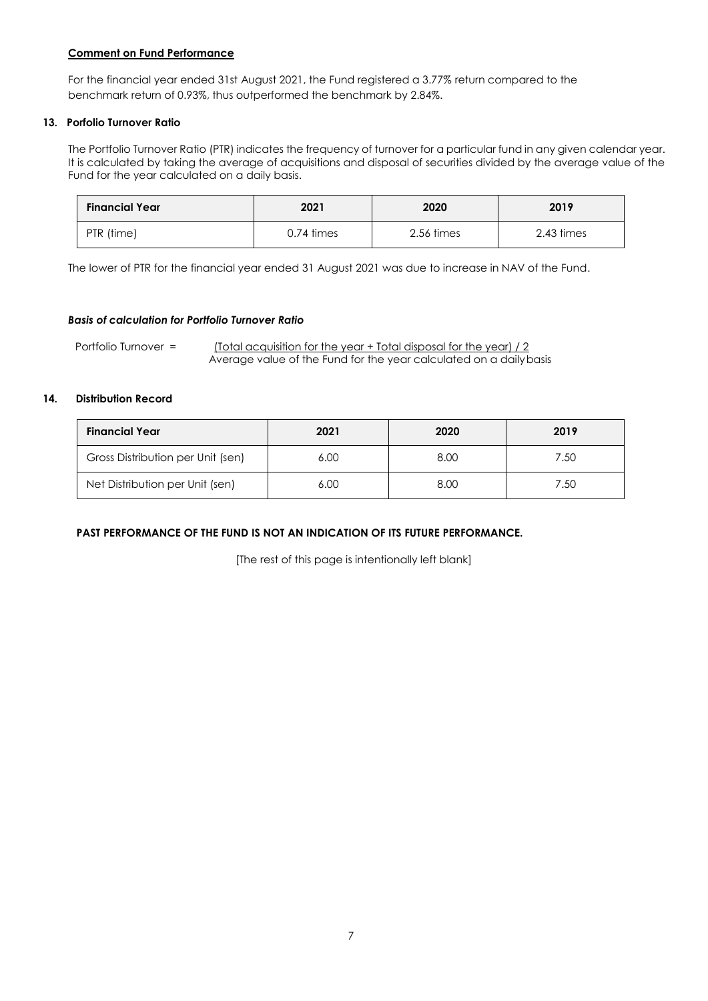#### **Comment on Fund Performance**

For the financial year ended 31st August 2021, the Fund registered a 3.77% return compared to the benchmark return of 0.93%, thus outperformed the benchmark by 2.84%.

#### **13. Porfolio Turnover Ratio**

The Portfolio Turnover Ratio (PTR) indicates the frequency of turnover for a particular fund in any given calendar year. It is calculated by taking the average of acquisitions and disposal of securities divided by the average value of the Fund for the year calculated on a daily basis.

| <b>Financial Year</b> | 2021            | 2020       | 2019       |  |
|-----------------------|-----------------|------------|------------|--|
| PTR (time)            | $0.74 \;$ times | 2.56 times | 2.43 times |  |

The lower of PTR for the financial year ended 31 August 2021 was due to increase in NAV of the Fund.

#### *Basis of calculation for Portfolio Turnover Ratio*

Portfolio Turnover = (Total acquisition for the year + Total disposal for the year) / 2 Average value of the Fund for the year calculated on a dailybasis

#### **14. Distribution Record**

| <b>Financial Year</b>             | 2021 | 2020 | 2019 |
|-----------------------------------|------|------|------|
| Gross Distribution per Unit (sen) | 6.00 | 8.00 | 7.50 |
| Net Distribution per Unit (sen)   | 6.00 | 8.00 | 7.50 |

#### **PAST PERFORMANCE OF THE FUND IS NOT AN INDICATION OF ITS FUTURE PERFORMANCE.**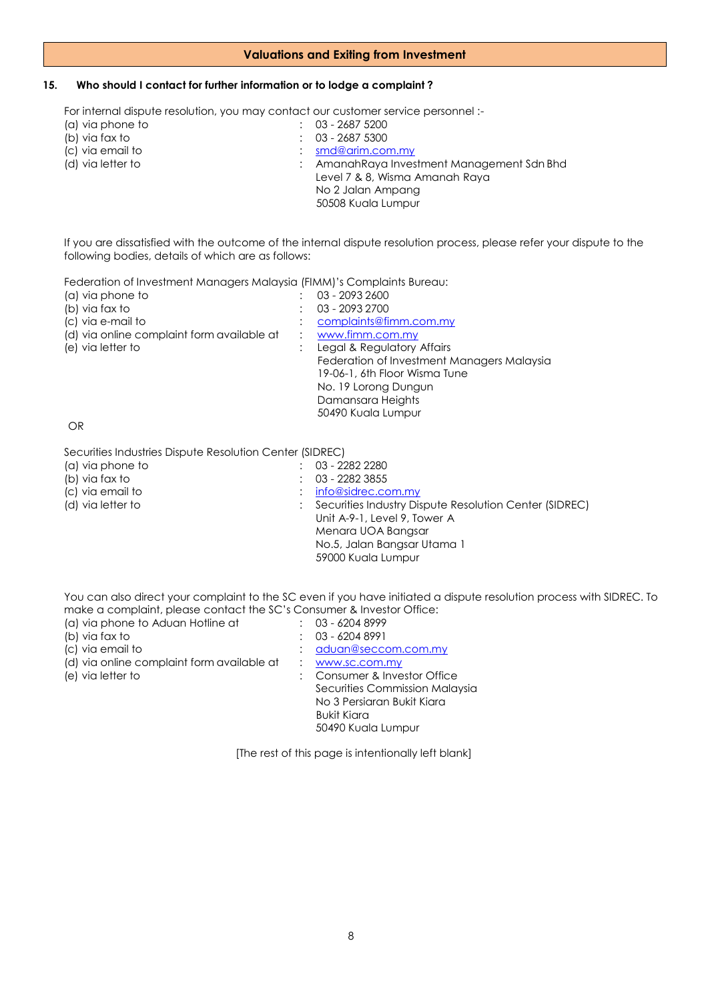#### **Valuations and Exiting from Investment**

#### **15. Who should I contact for further information or to lodge a complaint ?**

For internal dispute resolution, you may contact our customer service personnel :-<br>(a) via phone to  $\qquad \qquad$  : 03 - 2687 5200

(a) via phone to : 03 - 2687 5200<br>
(b) via fax to : 03 - 2687 5300 (b) via fax to : 03 - 2687 5300<br>
(c) via email to : <u>smd@arim.cor</u> (c) via email to : [smd@arim.com.my](mailto:sales@arim.com.my) : AmanahRaya Investment Management Sdn Bhd Level 7 & 8, Wisma Amanah Raya No 2 Jalan Ampang 50508 Kuala Lumpur

If you are dissatisfied with the outcome of the internal dispute resolution process, please refer your dispute to the following bodies, details of which are as follows:

Federation of Investment Managers Malaysia (FIMM)'s Complaints Bureau:

| (a) via phone to                           | 03 - 2093 2600                             |
|--------------------------------------------|--------------------------------------------|
| (b) via fax to                             | 03 - 2093 2700                             |
| (c) via e-mail to                          | complaints@fimm.com.my                     |
| (d) via online complaint form available at | www.fimm.com.my                            |
| (e) via letter to                          | Legal & Regulatory Affairs                 |
|                                            | Federation of Investment Managers Malaysia |
|                                            | 19-06-1, 6th Floor Wisma Tune              |
|                                            | No. 19 Lorong Dungun                       |
|                                            | Damansara Heights                          |
|                                            | 50490 Kuala Lumpur                         |
|                                            |                                            |

OR

Securities Industries Dispute Resolution Center (SIDREC)

| (a) via phone to  | 03 - 2282 2280                                         |
|-------------------|--------------------------------------------------------|
| (b) via fax to    | 03 - 2282 3855                                         |
| (c) via email to  | $:$ info@sidrec.com.my                                 |
| (d) via letter to | Securities Industry Dispute Resolution Center (SIDREC) |
|                   | Unit A-9-1, Level 9, Tower A                           |
|                   | Menara UOA Bangsar                                     |
|                   | No.5, Jalan Bangsar Utama 1                            |
|                   | 59000 Kuala Lumpur                                     |
|                   |                                                        |

You can also direct your complaint to the SC even if you have initiated a dispute resolution process with SIDREC. To make a complaint, please contact the SC's Consumer & Investor Office:

| (a) via phone to Aduan Hotline at          | $: 03 - 62048999$              |
|--------------------------------------------|--------------------------------|
| (b) via fax to                             | $: 03 - 62048991$              |
| (c) via email to                           | aduan@seccom.com.my            |
| (d) via online complaint form available at | www.sc.com.my                  |
| (e) via letter to                          | : Consumer & Investor Office   |
|                                            | Securities Commission Malaysia |
|                                            | No 3 Persiaran Bukit Kiara     |
|                                            | Bukit Kiara                    |
|                                            | 50490 Kuala Lumpur             |
|                                            |                                |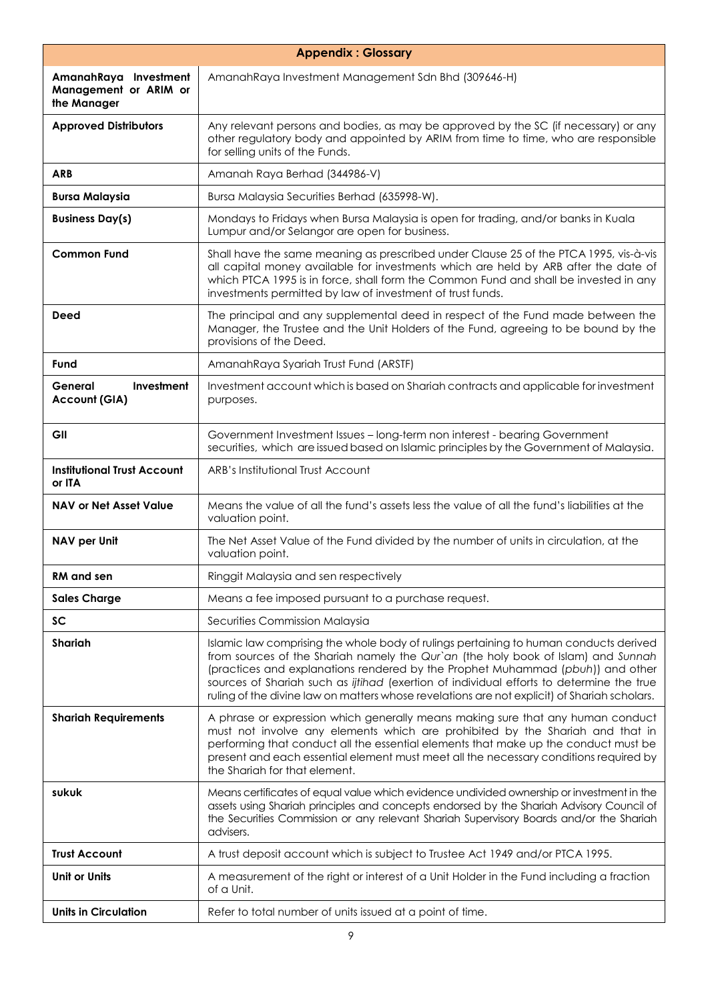| <b>Appendix: Glossary</b>                                     |                                                                                                                                                                                                                                                                                                                                                                                                                                                          |  |
|---------------------------------------------------------------|----------------------------------------------------------------------------------------------------------------------------------------------------------------------------------------------------------------------------------------------------------------------------------------------------------------------------------------------------------------------------------------------------------------------------------------------------------|--|
| AmanahRaya Investment<br>Management or ARIM or<br>the Manager | AmanahRaya Investment Management Sdn Bhd (309646-H)                                                                                                                                                                                                                                                                                                                                                                                                      |  |
| <b>Approved Distributors</b>                                  | Any relevant persons and bodies, as may be approved by the SC (if necessary) or any<br>other regulatory body and appointed by ARIM from time to time, who are responsible<br>for selling units of the Funds.                                                                                                                                                                                                                                             |  |
| <b>ARB</b>                                                    | Amanah Raya Berhad (344986-V)                                                                                                                                                                                                                                                                                                                                                                                                                            |  |
| <b>Bursa Malaysia</b>                                         | Bursa Malaysia Securities Berhad (635998-W).                                                                                                                                                                                                                                                                                                                                                                                                             |  |
| <b>Business Day(s)</b>                                        | Mondays to Fridays when Bursa Malaysia is open for trading, and/or banks in Kuala<br>Lumpur and/or Selangor are open for business.                                                                                                                                                                                                                                                                                                                       |  |
| <b>Common Fund</b>                                            | Shall have the same meaning as prescribed under Clause 25 of the PTCA 1995, vis-à-vis<br>all capital money available for investments which are held by ARB after the date of<br>which PTCA 1995 is in force, shall form the Common Fund and shall be invested in any<br>investments permitted by law of investment of trust funds.                                                                                                                       |  |
| <b>Deed</b>                                                   | The principal and any supplemental deed in respect of the Fund made between the<br>Manager, the Trustee and the Unit Holders of the Fund, agreeing to be bound by the<br>provisions of the Deed.                                                                                                                                                                                                                                                         |  |
| Fund                                                          | AmanahRaya Syariah Trust Fund (ARSTF)                                                                                                                                                                                                                                                                                                                                                                                                                    |  |
| Investment<br>General<br><b>Account (GIA)</b>                 | Investment account which is based on Shariah contracts and applicable for investment<br>purposes.                                                                                                                                                                                                                                                                                                                                                        |  |
| GII                                                           | Government Investment Issues - long-term non interest - bearing Government<br>securities, which are issued based on Islamic principles by the Government of Malaysia.                                                                                                                                                                                                                                                                                    |  |
| <b>Institutional Trust Account</b><br>or ITA                  | ARB's Institutional Trust Account                                                                                                                                                                                                                                                                                                                                                                                                                        |  |
| <b>NAV or Net Asset Value</b>                                 | Means the value of all the fund's assets less the value of all the fund's liabilities at the<br>valuation point.                                                                                                                                                                                                                                                                                                                                         |  |
| NAV per Unit                                                  | The Net Asset Value of the Fund divided by the number of units in circulation, at the<br>valuation point.                                                                                                                                                                                                                                                                                                                                                |  |
| <b>RM</b> and sen                                             | Ringgit Malaysia and sen respectively                                                                                                                                                                                                                                                                                                                                                                                                                    |  |
| <b>Sales Charge</b>                                           | Means a fee imposed pursuant to a purchase request.                                                                                                                                                                                                                                                                                                                                                                                                      |  |
| <b>SC</b>                                                     | Securities Commission Malaysia                                                                                                                                                                                                                                                                                                                                                                                                                           |  |
| <b>Shariah</b>                                                | Islamic law comprising the whole body of rulings pertaining to human conducts derived<br>from sources of the Shariah namely the Qur'an (the holy book of Islam) and Sunnah<br>(practices and explanations rendered by the Prophet Muhammad (pbuh)) and other<br>sources of Shariah such as ijtihad (exertion of individual efforts to determine the true<br>ruling of the divine law on matters whose revelations are not explicit) of Shariah scholars. |  |
| <b>Shariah Requirements</b>                                   | A phrase or expression which generally means making sure that any human conduct<br>must not involve any elements which are prohibited by the Shariah and that in<br>performing that conduct all the essential elements that make up the conduct must be<br>present and each essential element must meet all the necessary conditions required by<br>the Shariah for that element.                                                                        |  |
| sukuk                                                         | Means certificates of equal value which evidence undivided ownership or investment in the<br>assets using Shariah principles and concepts endorsed by the Shariah Advisory Council of<br>the Securities Commission or any relevant Shariah Supervisory Boards and/or the Shariah<br>advisers.                                                                                                                                                            |  |
| <b>Trust Account</b>                                          | A trust deposit account which is subject to Trustee Act 1949 and/or PTCA 1995.                                                                                                                                                                                                                                                                                                                                                                           |  |
| <b>Unit or Units</b>                                          | A measurement of the right or interest of a Unit Holder in the Fund including a fraction<br>of a Unit.                                                                                                                                                                                                                                                                                                                                                   |  |
| <b>Units in Circulation</b>                                   | Refer to total number of units issued at a point of time.                                                                                                                                                                                                                                                                                                                                                                                                |  |